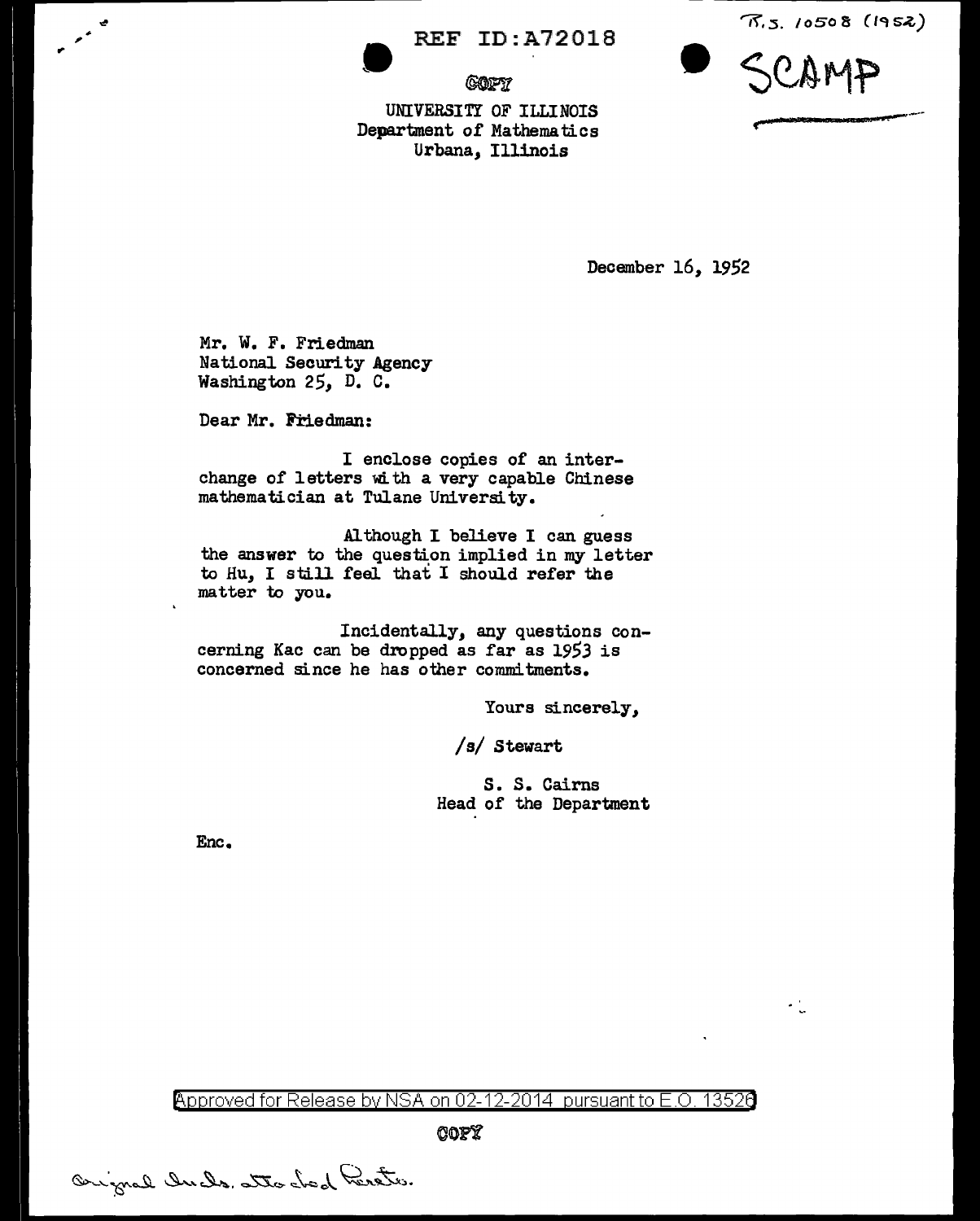REF ID:A72018

*@on* 

 $\pi$ .s. 10508 (1952)



 $\cdot$  .

UNIVERSITY OF ILLINOIS Department of Mathematics Urbana, Illinois

December 16, 1952

Mr. W. F. Friedman National Security Agency Washington 25, D. c.

Dear Mr. Friedman:

 $\mathbf{r}$ 

I enclose copies of an interchange of letters with a very capable Chinese mathematician at Tulane University.

Al though I believe I can guess the answer to the question implied in my letter to Hu, I still feel that I should refer the matter to you.

Incidentally, any questions concerning Kac can be dropped as far as 1953 is concerned since he has other commitments.

Yours sincerely,

/s/ Stewart

5. S. Cairns Head of the Department

Enc.

Approved for Release by NSA on 02-12-2014 pursuant to E.O. 13526

~on

Orignal Incles atto chod Perster.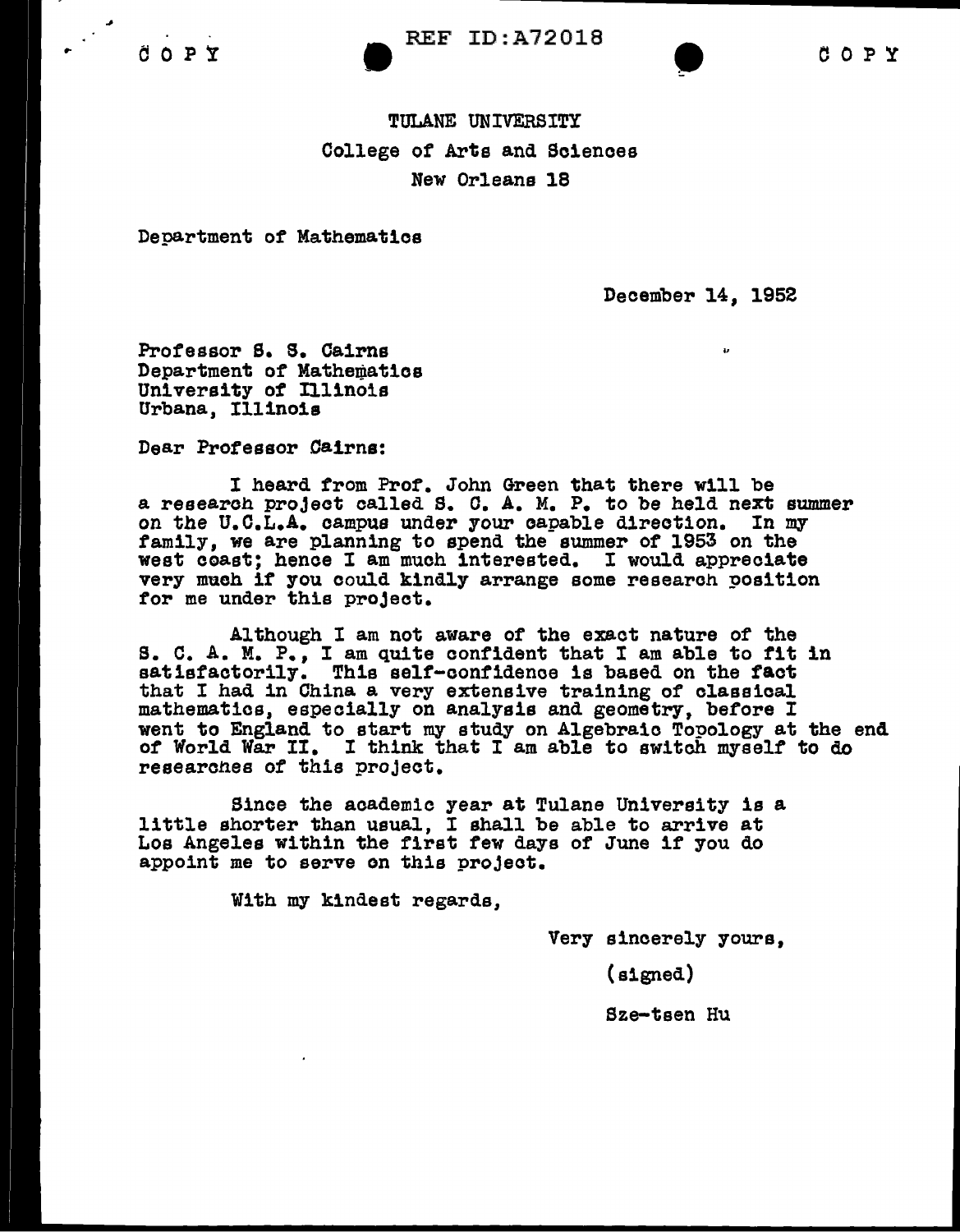## TULANE UNIVERSITY College of Arts and Sciences New Orleans 18

Department of Mathematica

December 14, 1952

Professor S. S. Cairns Department of Mathematics University of Illinois Urbana, Illinois

Dear Professor Cairns:

I heard from Prof. John Green that there will be a research project called S. C. A. M. P. to be held next summer<br>on the U.C.L.A. campus under your capable direction. In my family, we are planning to spend the summer of 1953 on the west coast; hence I am much interested. I would appreciate very much if you could kindly arrange some research position for me under this project.

Although I am not aware of the exact nature of the s. c. A. M. P., I am quite confident that I am able to tit in satisfactorily. This self-contidenoe is based on the tact that I had in China a very extensive training of classical. mathematics, especially on analysis and geometry, before I went to England to start my study on Algebraic Topology at the end of World War II. I think that I am able to switch myself to do researches of this project.

Since the academic year at Tulane University is a little shorter than usual, I shall be able to arrive at Los Angeles within the first tew days of June if you do appoint me to serve on this project.

With my kindest regards,

Very sincerely yours,

(signed)

Sze-teen Hu